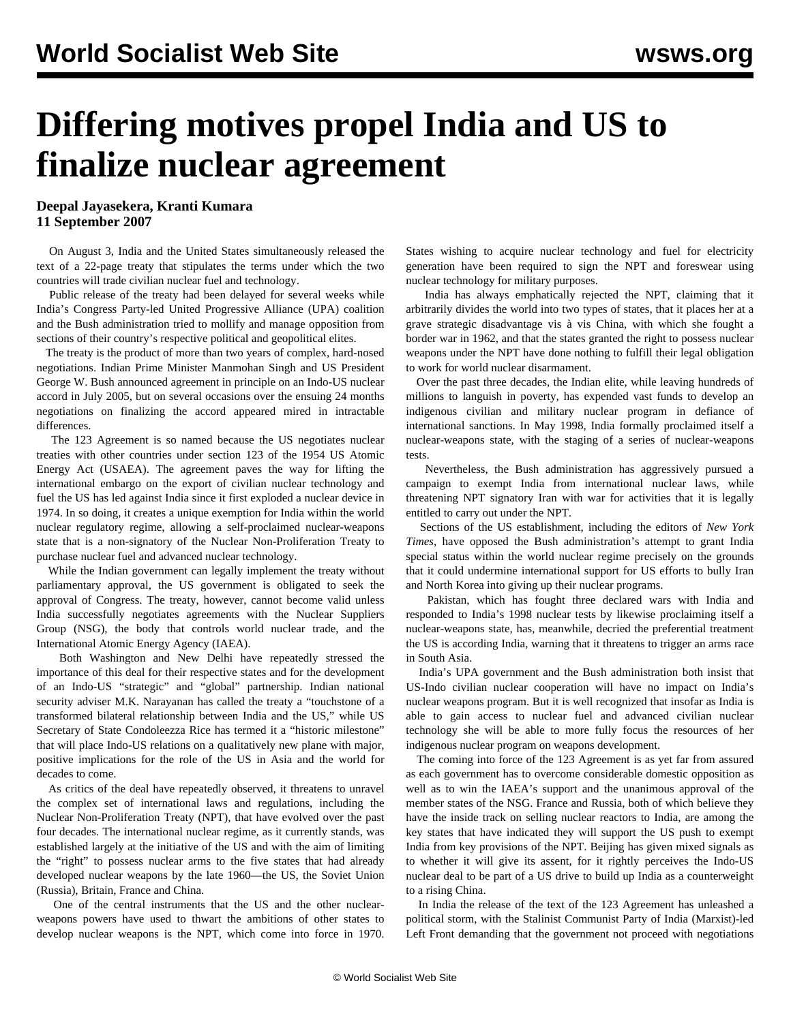## **Differing motives propel India and US to finalize nuclear agreement**

**Deepal Jayasekera, Kranti Kumara 11 September 2007**

 On August 3, India and the United States simultaneously released the text of a 22-page treaty that stipulates the terms under which the two countries will trade civilian nuclear fuel and technology.

 Public release of the treaty had been delayed for several weeks while India's Congress Party-led United Progressive Alliance (UPA) coalition and the Bush administration tried to mollify and manage opposition from sections of their country's respective political and geopolitical elites.

 The treaty is the product of more than two years of complex, hard-nosed negotiations. Indian Prime Minister Manmohan Singh and US President George W. Bush announced agreement in principle on an Indo-US nuclear accord in July 2005, but on several occasions over the ensuing 24 months negotiations on finalizing the accord appeared mired in intractable differences.

 The 123 Agreement is so named because the US negotiates nuclear treaties with other countries under section 123 of the 1954 US Atomic Energy Act (USAEA). The agreement paves the way for lifting the international embargo on the export of civilian nuclear technology and fuel the US has led against India since it first exploded a nuclear device in 1974. In so doing, it creates a unique exemption for India within the world nuclear regulatory regime, allowing a self-proclaimed nuclear-weapons state that is a non-signatory of the Nuclear Non-Proliferation Treaty to purchase nuclear fuel and advanced nuclear technology.

 While the Indian government can legally implement the treaty without parliamentary approval, the US government is obligated to seek the approval of Congress. The treaty, however, cannot become valid unless India successfully negotiates agreements with the Nuclear Suppliers Group (NSG), the body that controls world nuclear trade, and the International Atomic Energy Agency (IAEA).

 Both Washington and New Delhi have repeatedly stressed the importance of this deal for their respective states and for the development of an Indo-US "strategic" and "global" partnership. Indian national security adviser M.K. Narayanan has called the treaty a "touchstone of a transformed bilateral relationship between India and the US," while US Secretary of State Condoleezza Rice has termed it a "historic milestone" that will place Indo-US relations on a qualitatively new plane with major, positive implications for the role of the US in Asia and the world for decades to come.

 As critics of the deal have repeatedly observed, it threatens to unravel the complex set of international laws and regulations, including the Nuclear Non-Proliferation Treaty (NPT), that have evolved over the past four decades. The international nuclear regime, as it currently stands, was established largely at the initiative of the US and with the aim of limiting the "right" to possess nuclear arms to the five states that had already developed nuclear weapons by the late 1960—the US, the Soviet Union (Russia), Britain, France and China.

 One of the central instruments that the US and the other nuclearweapons powers have used to thwart the ambitions of other states to develop nuclear weapons is the NPT, which come into force in 1970.

States wishing to acquire nuclear technology and fuel for electricity generation have been required to sign the NPT and foreswear using nuclear technology for military purposes.

 India has always emphatically rejected the NPT, claiming that it arbitrarily divides the world into two types of states, that it places her at a grave strategic disadvantage vis à vis China, with which she fought a border war in 1962, and that the states granted the right to possess nuclear weapons under the NPT have done nothing to fulfill their legal obligation to work for world nuclear disarmament.

 Over the past three decades, the Indian elite, while leaving hundreds of millions to languish in poverty, has expended vast funds to develop an indigenous civilian and military nuclear program in defiance of international sanctions. In May 1998, India formally proclaimed itself a nuclear-weapons state, with the staging of a series of nuclear-weapons tests.

 Nevertheless, the Bush administration has aggressively pursued a campaign to exempt India from international nuclear laws, while threatening NPT signatory Iran with war for activities that it is legally entitled to carry out under the NPT.

 Sections of the US establishment, including the editors of *New York Times*, have opposed the Bush administration's attempt to grant India special status within the world nuclear regime precisely on the grounds that it could undermine international support for US efforts to bully Iran and North Korea into giving up their nuclear programs.

 Pakistan, which has fought three declared wars with India and responded to India's 1998 nuclear tests by likewise proclaiming itself a nuclear-weapons state, has, meanwhile, decried the preferential treatment the US is according India, warning that it threatens to trigger an arms race in South Asia.

 India's UPA government and the Bush administration both insist that US-Indo civilian nuclear cooperation will have no impact on India's nuclear weapons program. But it is well recognized that insofar as India is able to gain access to nuclear fuel and advanced civilian nuclear technology she will be able to more fully focus the resources of her indigenous nuclear program on weapons development.

 The coming into force of the 123 Agreement is as yet far from assured as each government has to overcome considerable domestic opposition as well as to win the IAEA's support and the unanimous approval of the member states of the NSG. France and Russia, both of which believe they have the inside track on selling nuclear reactors to India, are among the key states that have indicated they will support the US push to exempt India from key provisions of the NPT. Beijing has given mixed signals as to whether it will give its assent, for it rightly perceives the Indo-US nuclear deal to be part of a US drive to build up India as a counterweight to a rising China.

 In India the release of the text of the 123 Agreement has unleashed a political storm, with the Stalinist Communist Party of India (Marxist)-led Left Front demanding that the government not proceed with negotiations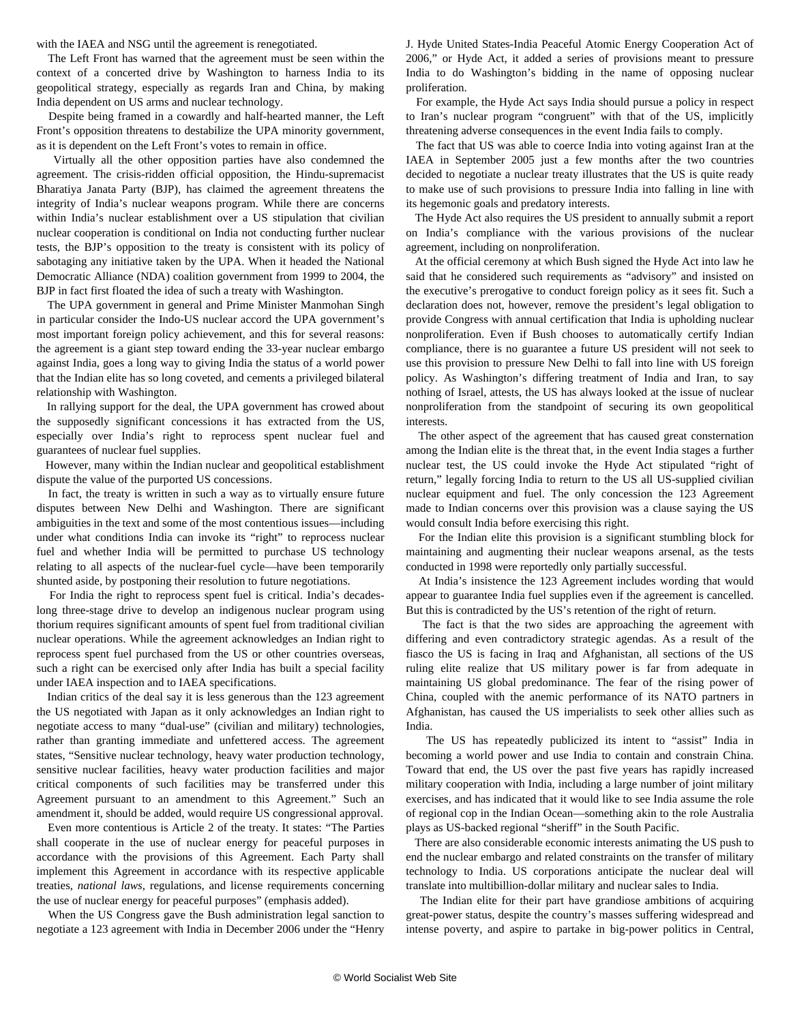with the IAEA and NSG until the agreement is renegotiated.

 The Left Front has warned that the agreement must be seen within the context of a concerted drive by Washington to harness India to its geopolitical strategy, especially as regards Iran and China, by making India dependent on US arms and nuclear technology.

 Despite being framed in a cowardly and half-hearted manner, the Left Front's opposition threatens to destabilize the UPA minority government, as it is dependent on the Left Front's votes to remain in office.

 Virtually all the other opposition parties have also condemned the agreement. The crisis-ridden official opposition, the Hindu-supremacist Bharatiya Janata Party (BJP), has claimed the agreement threatens the integrity of India's nuclear weapons program. While there are concerns within India's nuclear establishment over a US stipulation that civilian nuclear cooperation is conditional on India not conducting further nuclear tests, the BJP's opposition to the treaty is consistent with its policy of sabotaging any initiative taken by the UPA. When it headed the National Democratic Alliance (NDA) coalition government from 1999 to 2004, the BJP in fact first floated the idea of such a treaty with Washington.

 The UPA government in general and Prime Minister Manmohan Singh in particular consider the Indo-US nuclear accord the UPA government's most important foreign policy achievement, and this for several reasons: the agreement is a giant step toward ending the 33-year nuclear embargo against India, goes a long way to giving India the status of a world power that the Indian elite has so long coveted, and cements a privileged bilateral relationship with Washington.

 In rallying support for the deal, the UPA government has crowed about the supposedly significant concessions it has extracted from the US, especially over India's right to reprocess spent nuclear fuel and guarantees of nuclear fuel supplies.

 However, many within the Indian nuclear and geopolitical establishment dispute the value of the purported US concessions.

 In fact, the treaty is written in such a way as to virtually ensure future disputes between New Delhi and Washington. There are significant ambiguities in the text and some of the most contentious issues—including under what conditions India can invoke its "right" to reprocess nuclear fuel and whether India will be permitted to purchase US technology relating to all aspects of the nuclear-fuel cycle—have been temporarily shunted aside, by postponing their resolution to future negotiations.

 For India the right to reprocess spent fuel is critical. India's decadeslong three-stage drive to develop an indigenous nuclear program using thorium requires significant amounts of spent fuel from traditional civilian nuclear operations. While the agreement acknowledges an Indian right to reprocess spent fuel purchased from the US or other countries overseas, such a right can be exercised only after India has built a special facility under IAEA inspection and to IAEA specifications.

 Indian critics of the deal say it is less generous than the 123 agreement the US negotiated with Japan as it only acknowledges an Indian right to negotiate access to many "dual-use" (civilian and military) technologies, rather than granting immediate and unfettered access. The agreement states, "Sensitive nuclear technology, heavy water production technology, sensitive nuclear facilities, heavy water production facilities and major critical components of such facilities may be transferred under this Agreement pursuant to an amendment to this Agreement." Such an amendment it, should be added, would require US congressional approval.

 Even more contentious is Article 2 of the treaty. It states: "The Parties shall cooperate in the use of nuclear energy for peaceful purposes in accordance with the provisions of this Agreement. Each Party shall implement this Agreement in accordance with its respective applicable treaties, *national laws*, regulations, and license requirements concerning the use of nuclear energy for peaceful purposes" (emphasis added).

 When the US Congress gave the Bush administration legal sanction to negotiate a 123 agreement with India in December 2006 under the "Henry

J. Hyde United States-India Peaceful Atomic Energy Cooperation Act of 2006," or Hyde Act, it added a series of provisions meant to pressure India to do Washington's bidding in the name of opposing nuclear proliferation.

 For example, the Hyde Act says India should pursue a policy in respect to Iran's nuclear program "congruent" with that of the US, implicitly threatening adverse consequences in the event India fails to comply.

 The fact that US was able to coerce India into voting against Iran at the IAEA in September 2005 just a few months after the two countries decided to negotiate a nuclear treaty illustrates that the US is quite ready to make use of such provisions to pressure India into falling in line with its hegemonic goals and predatory interests.

 The Hyde Act also requires the US president to annually submit a report on India's compliance with the various provisions of the nuclear agreement, including on nonproliferation.

 At the official ceremony at which Bush signed the Hyde Act into law he said that he considered such requirements as "advisory" and insisted on the executive's prerogative to conduct foreign policy as it sees fit. Such a declaration does not, however, remove the president's legal obligation to provide Congress with annual certification that India is upholding nuclear nonproliferation. Even if Bush chooses to automatically certify Indian compliance, there is no guarantee a future US president will not seek to use this provision to pressure New Delhi to fall into line with US foreign policy. As Washington's differing treatment of India and Iran, to say nothing of Israel, attests, the US has always looked at the issue of nuclear nonproliferation from the standpoint of securing its own geopolitical interests.

 The other aspect of the agreement that has caused great consternation among the Indian elite is the threat that, in the event India stages a further nuclear test, the US could invoke the Hyde Act stipulated "right of return," legally forcing India to return to the US all US-supplied civilian nuclear equipment and fuel. The only concession the 123 Agreement made to Indian concerns over this provision was a clause saying the US would consult India before exercising this right.

 For the Indian elite this provision is a significant stumbling block for maintaining and augmenting their nuclear weapons arsenal, as the tests conducted in 1998 were reportedly only partially successful.

 At India's insistence the 123 Agreement includes wording that would appear to guarantee India fuel supplies even if the agreement is cancelled. But this is contradicted by the US's retention of the right of return.

 The fact is that the two sides are approaching the agreement with differing and even contradictory strategic agendas. As a result of the fiasco the US is facing in Iraq and Afghanistan, all sections of the US ruling elite realize that US military power is far from adequate in maintaining US global predominance. The fear of the rising power of China, coupled with the anemic performance of its NATO partners in Afghanistan, has caused the US imperialists to seek other allies such as India.

 The US has repeatedly publicized its intent to "assist" India in becoming a world power and use India to contain and constrain China. Toward that end, the US over the past five years has rapidly increased military cooperation with India, including a large number of joint military exercises, and has indicated that it would like to see India assume the role of regional cop in the Indian Ocean—something akin to the role Australia plays as US-backed regional "sheriff" in the South Pacific.

 There are also considerable economic interests animating the US push to end the nuclear embargo and related constraints on the transfer of military technology to India. US corporations anticipate the nuclear deal will translate into multibillion-dollar military and nuclear sales to India.

 The Indian elite for their part have grandiose ambitions of acquiring great-power status, despite the country's masses suffering widespread and intense poverty, and aspire to partake in big-power politics in Central,